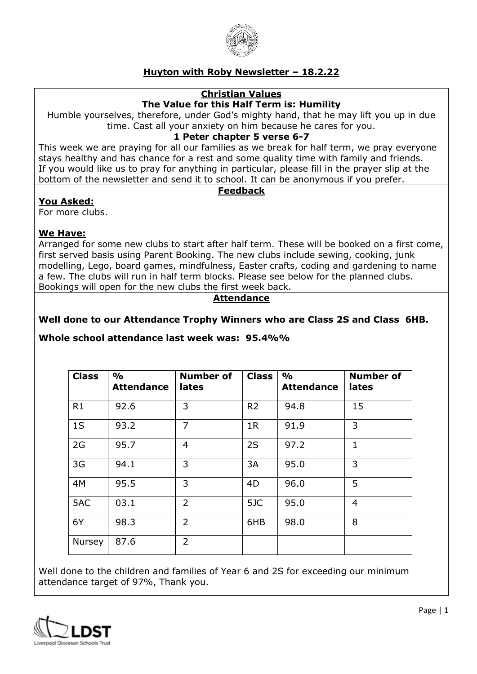

# **Huyton with Roby Newsletter – 18.2.22**

### **Christian Values**

### **The Value for this Half Term is: Humility**

Humble yourselves, therefore, under God's mighty hand, that he may lift you up in due time. Cast all your anxiety on him because he cares for you.

#### **1 Peter chapter 5 verse 6-7**

This week we are praying for all our families as we break for half term, we pray everyone stays healthy and has chance for a rest and some quality time with family and friends. If you would like us to pray for anything in particular, please fill in the prayer slip at the bottom of the newsletter and send it to school. It can be anonymous if you prefer.

#### **Feedback**

#### **You Asked:**

For more clubs.

#### **We Have:**

Arranged for some new clubs to start after half term. These will be booked on a first come, first served basis using Parent Booking. The new clubs include sewing, cooking, junk modelling, Lego, board games, mindfulness, Easter crafts, coding and gardening to name a few. The clubs will run in half term blocks. Please see below for the planned clubs. Bookings will open for the new clubs the first week back.

### **Attendance**

### **Well done to our Attendance Trophy Winners who are Class 2S and Class 6HB.**

### **Whole school attendance last week was: 95.4%%**

| <b>Class</b>   | $\frac{9}{0}$<br><b>Attendance</b> | <b>Number of</b><br>lates | <b>Class</b>   | $\frac{1}{2}$<br><b>Attendance</b> | <b>Number of</b><br>lates |
|----------------|------------------------------------|---------------------------|----------------|------------------------------------|---------------------------|
| R1             | 92.6                               | 3                         | R <sub>2</sub> | 94.8                               | 15                        |
| 1 <sub>S</sub> | 93.2                               | $\overline{7}$            | 1R             | 91.9                               | 3                         |
| 2G             | 95.7                               | $\overline{4}$            | 2S             | 97.2                               | $\overline{1}$            |
| 3G             | 94.1                               | 3                         | 3A             | 95.0                               | 3                         |
| 4M             | 95.5                               | 3                         | 4D             | 96.0                               | 5                         |
| 5AC            | 03.1                               | $\overline{2}$            | 5JC            | 95.0                               | $\overline{4}$            |
| 6Y             | 98.3                               | $\overline{2}$            | 6HB            | 98.0                               | 8                         |
| Nursey         | 87.6                               | $\overline{2}$            |                |                                    |                           |

Well done to the children and families of Year 6 and 2S for exceeding our minimum attendance target of 97%, Thank you.

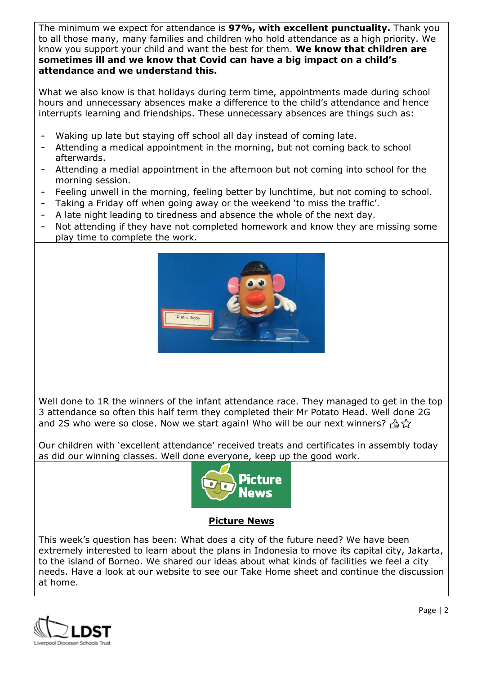The minimum we expect for attendance is **97%, with excellent punctuality.** Thank you to all those many, many families and children who hold attendance as a high priority. We know you support your child and want the best for them. **We know that children are sometimes ill and we know that Covid can have a big impact on a child's attendance and we understand this.**

What we also know is that holidays during term time, appointments made during school hours and unnecessary absences make a difference to the child's attendance and hence interrupts learning and friendships. These unnecessary absences are things such as:

- Waking up late but staying off school all day instead of coming late.
- Attending a medical appointment in the morning, but not coming back to school afterwards.
- Attending a medial appointment in the afternoon but not coming into school for the morning session.
- Feeling unwell in the morning, feeling better by lunchtime, but not coming to school.
- Taking a Friday off when going away or the weekend 'to miss the traffic'.
- A late night leading to tiredness and absence the whole of the next day.
- Not attending if they have not completed homework and know they are missing some play time to complete the work.



Well done to 1R the winners of the infant attendance race. They managed to get in the top 3 attendance so often this half term they completed their Mr Potato Head. Well done 2G and 2S who were so close. Now we start again! Who will be our next winners?  $\beta$ 

Our children with 'excellent attendance' received treats and certificates in assembly today as did our winning classes. Well done everyone, keep up the good work.



### **Picture News**

This week's question has been: What does a city of the future need? We have been extremely interested to learn about the plans in Indonesia to move its capital city, Jakarta, to the island of Borneo. We shared our ideas about what kinds of facilities we feel a city needs. Have a look at our website to see our Take Home sheet and continue the discussion at home.

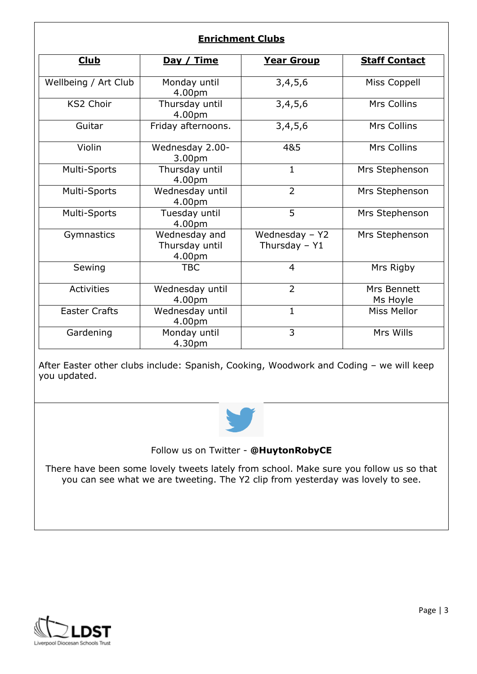# **Enrichment Clubs**

| <b>Club</b>          | Day / Time                                | <u>Year Group</u>                 | <b>Staff Contact</b>    |
|----------------------|-------------------------------------------|-----------------------------------|-------------------------|
|                      |                                           |                                   |                         |
| Wellbeing / Art Club | Monday until<br>4.00pm                    | 3,4,5,6                           | Miss Coppell            |
| <b>KS2 Choir</b>     | Thursday until<br>4.00pm                  | 3,4,5,6                           | Mrs Collins             |
| Guitar               | Friday afternoons.                        | 3,4,5,6                           | Mrs Collins             |
| Violin               | Wednesday 2.00-<br>3.00pm                 | 4&5                               | Mrs Collins             |
| Multi-Sports         | Thursday until<br>4.00pm                  | $\mathbf{1}$                      | Mrs Stephenson          |
| Multi-Sports         | Wednesday until<br>4.00pm                 | $\overline{2}$                    | Mrs Stephenson          |
| Multi-Sports         | Tuesday until<br>4.00pm                   | 5                                 | Mrs Stephenson          |
| Gymnastics           | Wednesday and<br>Thursday until<br>4.00pm | Wednesday - Y2<br>Thursday $-$ Y1 | Mrs Stephenson          |
| Sewing               | <b>TBC</b>                                | $\overline{4}$                    | Mrs Rigby               |
| <b>Activities</b>    | Wednesday until<br>4.00pm                 | $\overline{2}$                    | Mrs Bennett<br>Ms Hoyle |
| <b>Easter Crafts</b> | Wednesday until<br>4.00pm                 | $\mathbf{1}$                      | <b>Miss Mellor</b>      |
| Gardening            | Monday until<br>4.30pm                    | 3                                 | Mrs Wills               |

After Easter other clubs include: Spanish, Cooking, Woodwork and Coding – we will keep you updated.



Follow us on Twitter - **@HuytonRobyCE**

There have been some lovely tweets lately from school. Make sure you follow us so that you can see what we are tweeting. The Y2 clip from yesterday was lovely to see.

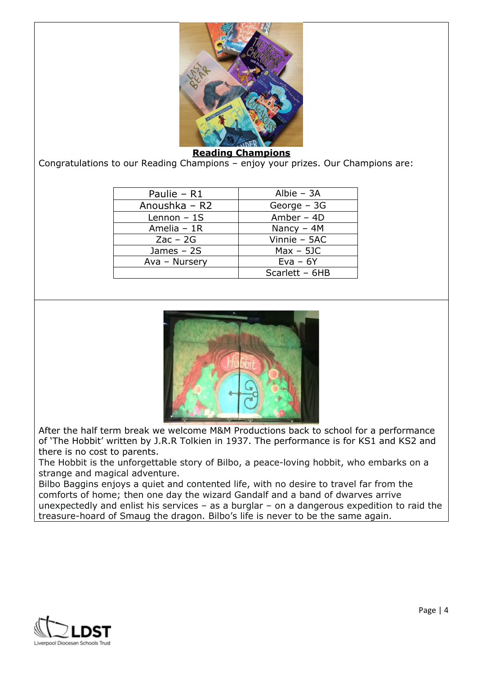

#### **Reading Champions**

Congratulations to our Reading Champions – enjoy your prizes. Our Champions are:

| Paulie - R1   | Albie $-$ 3A   |  |
|---------------|----------------|--|
| Anoushka - R2 | George $-3G$   |  |
| Lennon $-1S$  | Amber $-$ 4D   |  |
| Amelia $-1R$  | Nancy $-4M$    |  |
| $Zac - 2G$    | Vinnie - 5AC   |  |
| James $-2S$   | $Max - 5JC$    |  |
| Ava - Nursery | $Eva - 6Y$     |  |
|               | Scarlett - 6HB |  |



After the half term break we welcome M&M Productions back to school for a performance of 'The Hobbit' written by J.R.R Tolkien in 1937. The performance is for KS1 and KS2 and there is no cost to parents.

The Hobbit is the unforgettable story of Bilbo, a peace-loving hobbit, who embarks on a strange and magical adventure.

Bilbo Baggins enjoys a quiet and contented life, with no desire to travel far from the comforts of home; then one day the wizard Gandalf and a band of dwarves arrive unexpectedly and enlist his services – as a burglar – on a dangerous expedition to raid the treasure-hoard of Smaug the dragon. Bilbo's life is never to be the same again.

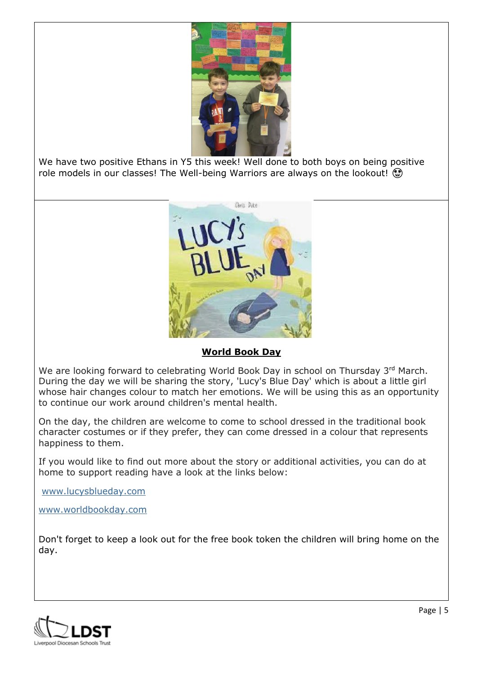

We have two positive Ethans in Y5 this week! Well done to both boys on being positive role models in our classes! The Well-being Warriors are always on the lookout!



# **World Book Day**

We are looking forward to celebrating World Book Day in school on Thursday 3rd March. During the day we will be sharing the story, 'Lucy's Blue Day' which is about a little girl whose hair changes colour to match her emotions. We will be using this as an opportunity to continue our work around children's mental health.

On the day, the children are welcome to come to school dressed in the traditional book character costumes or if they prefer, they can come dressed in a colour that represents happiness to them.

If you would like to find out more about the story or additional activities, you can do at home to support reading have a look at the links below:

[www.lucysblueday.com](http://www.lucysblueday.com/)

[www.worldbookday.com](http://www.worldbookday.com/) 

Don't forget to keep a look out for the free book token the children will bring home on the day.